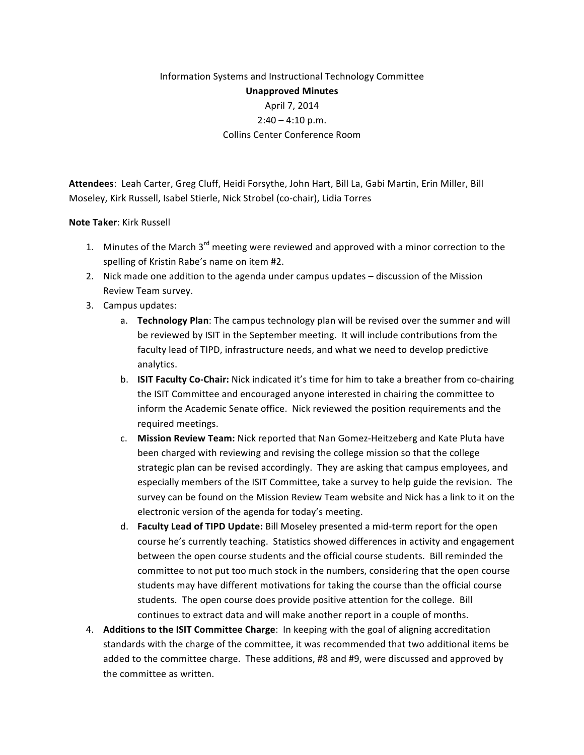## Information Systems and Instructional Technology Committee **Unapproved Minutes** April 7, 2014  $2:40 - 4:10$  p.m. Collins Center Conference Room

Attendees: Leah Carter, Greg Cluff, Heidi Forsythe, John Hart, Bill La, Gabi Martin, Erin Miller, Bill Moseley, Kirk Russell, Isabel Stierle, Nick Strobel (co-chair), Lidia Torres

## **Note Taker:** Kirk Russell

- 1. Minutes of the March 3<sup>rd</sup> meeting were reviewed and approved with a minor correction to the spelling of Kristin Rabe's name on item #2.
- 2. Nick made one addition to the agenda under campus updates discussion of the Mission Review Team survey.
- 3. Campus updates:
	- a. **Technology Plan**: The campus technology plan will be revised over the summer and will be reviewed by ISIT in the September meeting. It will include contributions from the faculty lead of TIPD, infrastructure needs, and what we need to develop predictive analytics.
	- b. **ISIT Faculty Co-Chair:** Nick indicated it's time for him to take a breather from co-chairing the ISIT Committee and encouraged anyone interested in chairing the committee to inform the Academic Senate office. Nick reviewed the position requirements and the required meetings.
	- c. **Mission Review Team:** Nick reported that Nan Gomez-Heitzeberg and Kate Pluta have been charged with reviewing and revising the college mission so that the college strategic plan can be revised accordingly. They are asking that campus employees, and especially members of the ISIT Committee, take a survey to help guide the revision. The survey can be found on the Mission Review Team website and Nick has a link to it on the electronic version of the agenda for today's meeting.
	- d. **Faculty Lead of TIPD Update:** Bill Moseley presented a mid-term report for the open course he's currently teaching. Statistics showed differences in activity and engagement between the open course students and the official course students. Bill reminded the committee to not put too much stock in the numbers, considering that the open course students may have different motivations for taking the course than the official course students. The open course does provide positive attention for the college. Bill continues to extract data and will make another report in a couple of months.
- 4. **Additions to the ISIT Committee Charge**: In keeping with the goal of aligning accreditation standards with the charge of the committee, it was recommended that two additional items be added to the committee charge. These additions, #8 and #9, were discussed and approved by the committee as written.